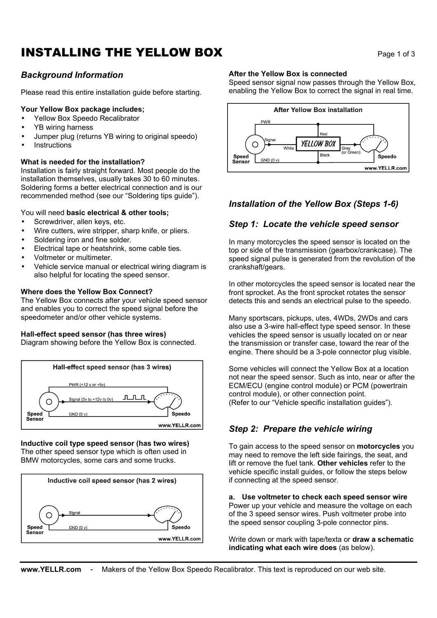# **INSTALLING THE YELLOW BOX** Page 1 of 3

# *Background Information*

Please read this entire installation guide before starting.

### **Your Yellow Box package includes;**

- Yellow Box Speedo Recalibrator
- YB wiring harness
- Jumper plug (returns YB wiring to original speedo)
- **Instructions**

### **What is needed for the installation?**

Installation is fairly straight forward. Most people do the installation themselves, usually takes 30 to 60 minutes. Soldering forms a better electrical connection and is our recommended method (see our "Soldering tips guide").

## You will need **basic electrical & other tools;**

- Screwdriver, allen keys, etc.
- Wire cutters, wire stripper, sharp knife, or pliers.
- Soldering iron and fine solder.
- Electrical tape or heatshrink, some cable ties.
- Voltmeter or multimeter.
- Vehicle service manual or electrical wiring diagram is also helpful for locating the speed sensor.

### **Where does the Yellow Box Connect?**

The Yellow Box connects after your vehicle speed sensor and enables you to correct the speed signal before the speedometer and/or other vehicle systems.

## **Hall-effect speed sensor (has three wires)**

Diagram showing before the Yellow Box is connected.



#### **Inductive coil type speed sensor (has two wires)** The other speed sensor type which is often used in BMW motorcycles, some cars and some trucks.



#### **After the Yellow Box is connected**

Speed sensor signal now passes through the Yellow Box, enabling the Yellow Box to correct the signal in real time.



# *Installation of the Yellow Box (Steps 1-6)*

# *Step 1: Locate the vehicle speed sensor*

In many motorcycles the speed sensor is located on the top or side of the transmission (gearbox/crankcase). The speed signal pulse is generated from the revolution of the crankshaft/gears.

In other motorcycles the speed sensor is located near the front sprocket. As the front sprocket rotates the sensor detects this and sends an electrical pulse to the speedo.

Many sportscars, pickups, utes, 4WDs, 2WDs and cars also use a 3-wire hall-effect type speed sensor. In these vehicles the speed sensor is usually located on or near the transmission or transfer case, toward the rear of the engine. There should be a 3-pole connector plug visible.

Some vehicles will connect the Yellow Box at a location not near the speed sensor. Such as into, near or after the ECM/ECU (engine control module) or PCM (powertrain control module), or other connection point. (Refer to our "Vehicle specific installation guides").

# *Step 2: Prepare the vehicle wiring*

To gain access to the speed sensor on **motorcycles** you may need to remove the left side fairings, the seat, and lift or remove the fuel tank. **Other vehicles** refer to the vehicle specific install guides, or follow the steps below if connecting at the speed sensor.

**a. Use voltmeter to check each speed sensor wire** Power up your vehicle and measure the voltage on each of the 3 speed sensor wires. Push voltmeter probe into the speed sensor coupling 3-pole connector pins.

Write down or mark with tape/texta or **draw a schematic indicating what each wire does** (as below).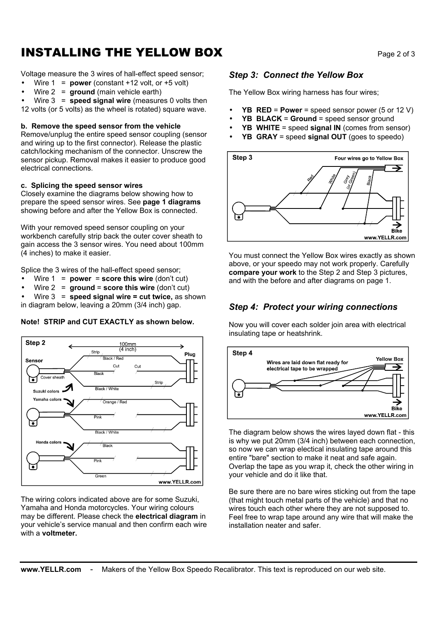# **INSTALLING THE YELLOW BOX** Page 2 of 3

Voltage measure the 3 wires of hall-effect speed sensor;

- Wire  $1 = power$  (constant  $+12$  volt, or  $+5$  volt)
- Wire 2 = **ground** (main vehicle earth)

• Wire 3 = **speed signal wire** (measures 0 volts then 12 volts (or 5 volts) as the wheel is rotated) square wave.

#### **b. Remove the speed sensor from the vehicle**

Remove/unplug the entire speed sensor coupling (sensor and wiring up to the first connector). Release the plastic catch/locking mechanism of the connector. Unscrew the sensor pickup. Removal makes it easier to produce good electrical connections.

#### **c. Splicing the speed sensor wires**

Closely examine the diagrams below showing how to prepare the speed sensor wires. See **page 1 diagrams** showing before and after the Yellow Box is connected.

With your removed speed sensor coupling on your workbench carefully strip back the outer cover sheath to gain access the 3 sensor wires. You need about 100mm (4 inches) to make it easier.

Splice the 3 wires of the hall-effect speed sensor;

- Wire  $1 = power = score this wire (don't cut)$
- Wire 2 = **ground** = **score this wire** (don't cut)

• Wire 3 = **speed signal wire = cut twice,** as shown in diagram below, leaving a 20mm (3/4 inch) gap.

#### **Note! STRIP and CUT EXACTLY as shown below.**



The wiring colors indicated above are for some Suzuki, Yamaha and Honda motorcycles. Your wiring colours may be different. Please check the **electrical diagram** in your vehicle's service manual and then confirm each wire with a **voltmeter.**

## *Step 3: Connect the Yellow Box*

The Yellow Box wiring harness has four wires;

- **YB RED** = **Power** = speed sensor power (5 or 12 V)
- **YB BLACK** = **Ground** = speed sensor ground
- **YB WHITE** = speed **signal IN** (comes from sensor)
- **YB GRAY** = speed **signal OUT** (goes to speedo)



You must connect the Yellow Box wires exactly as shown above, or your speedo may not work properly. Carefully **compare your work** to the Step 2 and Step 3 pictures, and with the before and after diagrams on page 1.

## *Step 4: Protect your wiring connections*

Now you will cover each solder join area with electrical insulating tape or heatshrink.



The diagram below shows the wires layed down flat - this is why we put 20mm (3/4 inch) between each connection, so now we can wrap electical insulating tape around this entire "bare" section to make it neat and safe again. Overlap the tape as you wrap it, check the other wiring in your vehicle and do it like that.

Be sure there are no bare wires sticking out from the tape (that might touch metal parts of the vehicle) and that no wires touch each other where they are not supposed to. Feel free to wrap tape around any wire that will make the installation neater and safer.